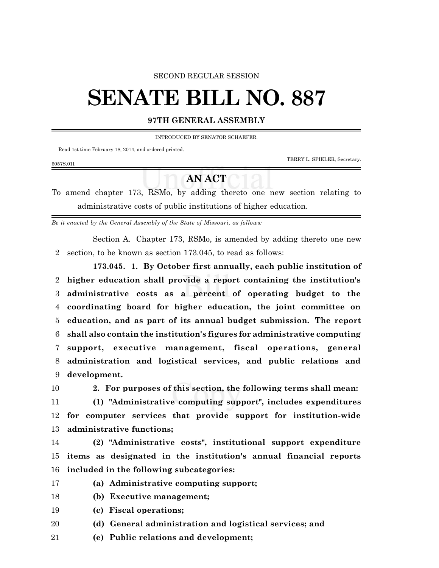## SECOND REGULAR SESSION

## **SENATE BILL NO. 887**

## **97TH GENERAL ASSEMBLY**

INTRODUCED BY SENATOR SCHAEFER.

Read 1st time February 18, 2014, and ordered printed.

TERRY L. SPIELER, Secretary.

## **AN ACT**

To amend chapter 173, RSMo, by adding thereto one new section relating to administrative costs of public institutions of higher education.

*Be it enacted by the General Assembly of the State of Missouri, as follows:*

Section A. Chapter 173, RSMo, is amended by adding thereto one new section, to be known as section 173.045, to read as follows:

**173.045. 1. By October first annually, each public institution of higher education shall provide a report containing the institution's administrative costs as a percent of operating budget to the coordinating board for higher education, the joint committee on education, and as part of its annual budget submission. The report shall also contain the institution's figures for administrative computing support, executive management, fiscal operations, general administration and logistical services, and public relations and development.**

6057S.01I

**2. For purposes of this section, the following terms shall mean:**

 **(1) "Administrative computing support", includes expenditures for computer services that provide support for institution-wide administrative functions;**

 **(2) "Administrative costs", institutional support expenditure items as designated in the institution's annual financial reports included in the following subcategories:**

- **(a) Administrative computing support;**
- **(b) Executive management;**
- **(c) Fiscal operations;**
- **(d) General administration and logistical services; and**

**(e) Public relations and development;**